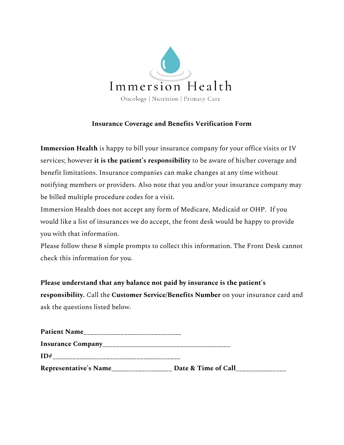

## **Insurance Coverage and Benefits Verification Form**

**Immersion Health** is happy to bill your insurance company for your office visits or IV services; however **it is the patient's responsibility** to be aware of his/her coverage and benefit limitations. Insurance companies can make changes at any time without notifying members or providers. Also note that you and/or your insurance company may be billed multiple procedure codes for a visit.

Immersion Health does not accept any form of Medicare, Medicaid or OHP. If you would like a list of insurances we do accept, the front desk would be happy to provide you with that information.

Please follow these 8 simple prompts to collect this information. The Front Desk cannot check this information for you.

**Please understand that any balance not paid by insurance is the patient's responsibility.** Call the **Customer Service/Benefits Number** on your insurance card and ask the questions listed below.

| <b>Patient Name</b>   |                     |
|-----------------------|---------------------|
|                       |                     |
| ID#                   |                     |
| Representative's Name | Date & Time of Call |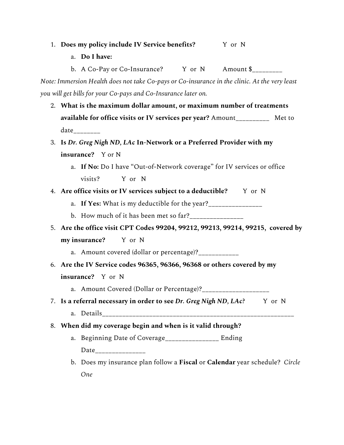|    | 1. Does my policy include IV Service benefits? Y or N                                         |  |  |
|----|-----------------------------------------------------------------------------------------------|--|--|
|    | a. Do I have:                                                                                 |  |  |
|    | b. A Co-Pay or Co-Insurance? Y or N Amount \$_________                                        |  |  |
|    | Note: Immersion Health does not take Co-pays or Co-insurance in the clinic. At the very least |  |  |
|    | you will get bills for your Co-pays and Co-Insurance later on.                                |  |  |
|    | 2. What is the maximum dollar amount, or maximum number of treatments                         |  |  |
|    | available for office visits or IV services per year? Amount____________ Met to                |  |  |
|    | $date_{\_\_\_\_\_\_\_\_\_\_\_\_\_\_\_\_\_\_\_\_\_\_}$                                         |  |  |
|    | 3. Is Dr. Greg Nigh ND, LAc In-Network or a Preferred Provider with my                        |  |  |
|    | insurance? Y or N                                                                             |  |  |
|    | a. If No: Do I have "Out-of-Network coverage" for IV services or office                       |  |  |
|    | Y or N<br>visits?                                                                             |  |  |
|    | 4. Are office visits or IV services subject to a deductible? Y or N                           |  |  |
|    | a. If Yes: What is my deductible for the year?________________                                |  |  |
|    | b. How much of it has been met so far?_______________                                         |  |  |
|    | 5. Are the office visit CPT Codes 99204, 99212, 99213, 99214, 99215, covered by               |  |  |
|    | my insurance? Y or N                                                                          |  |  |
|    | a. Amount covered (dollar or percentage)?___________                                          |  |  |
|    | 6. Are the IV Service codes 96365, 96366, 96368 or others covered by my                       |  |  |
|    | insurance? Y or N                                                                             |  |  |
|    | a. Amount Covered (Dollar or Percentage)?____________________                                 |  |  |
|    | 7. Is a referral necessary in order to see Dr. Greg Nigh ND, LAc? Y or N                      |  |  |
|    |                                                                                               |  |  |
| 8. | When did my coverage begin and when is it valid through?                                      |  |  |
|    | a. Beginning Date of Coverage_______________ Ending                                           |  |  |
|    | Date_________________                                                                         |  |  |
|    | b. Does my insurance plan follow a Fiscal or Calendar year schedule? Circle                   |  |  |
|    | <b>One</b>                                                                                    |  |  |